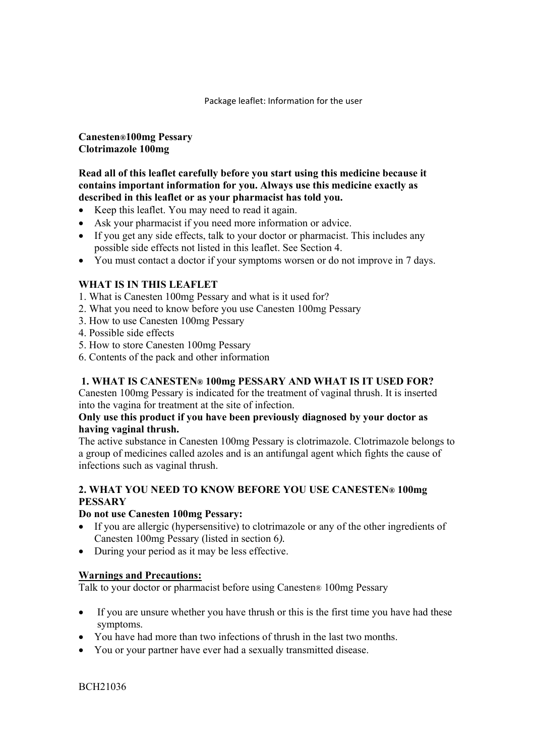Package leaflet: Information for the user

**Canesten®100mg Pessary Clotrimazole 100mg** 

**Read all of this leaflet carefully before you start using this medicine because it contains important information for you. Always use this medicine exactly as described in this leaflet or as your pharmacist has told you.** 

- Keep this leaflet. You may need to read it again.
- Ask your pharmacist if you need more information or advice.
- If you get any side effects, talk to your doctor or pharmacist. This includes any possible side effects not listed in this leaflet. See Section 4.
- You must contact a doctor if your symptoms worsen or do not improve in 7 days.

# **WHAT IS IN THIS LEAFLET**

- 1. What is Canesten 100mg Pessary and what is it used for?
- 2. What you need to know before you use Canesten 100mg Pessary
- 3. How to use Canesten 100mg Pessary
- 4. Possible side effects
- 5. How to store Canesten 100mg Pessary
- 6. Contents of the pack and other information

## **1. WHAT IS CANESTEN® 100mg PESSARY AND WHAT IS IT USED FOR?**

Canesten 100mg Pessary is indicated for the treatment of vaginal thrush. It is inserted into the vagina for treatment at the site of infection.

## **Only use this product if you have been previously diagnosed by your doctor as having vaginal thrush.**

The active substance in Canesten 100mg Pessary is clotrimazole. Clotrimazole belongs to a group of medicines called azoles and is an antifungal agent which fights the cause of infections such as vaginal thrush.

# **2. WHAT YOU NEED TO KNOW BEFORE YOU USE CANESTEN® 100mg PESSARY**

#### **Do not use Canesten 100mg Pessary:**

- If you are allergic (hypersensitive) to clotrimazole or any of the other ingredients of Canesten 100mg Pessary (listed in section 6*).*
- During your period as it may be less effective.

## **Warnings and Precautions:**

Talk to your doctor or pharmacist before using Canesten® 100mg Pessary

- If you are unsure whether you have thrush or this is the first time you have had these symptoms.
- You have had more than two infections of thrush in the last two months.
- You or your partner have ever had a sexually transmitted disease.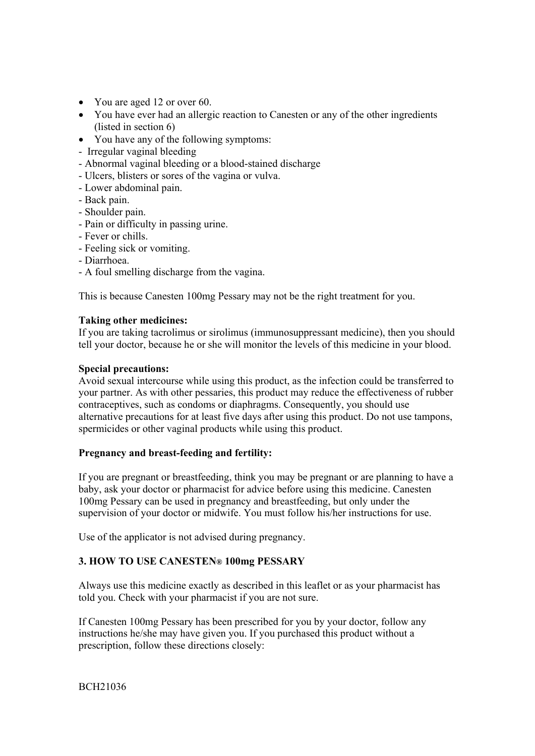- You are aged 12 or over 60.
- You have ever had an allergic reaction to Canesten or any of the other ingredients (listed in section 6)
- You have any of the following symptoms:
- Irregular vaginal bleeding
- Abnormal vaginal bleeding or a blood-stained discharge
- Ulcers, blisters or sores of the vagina or vulva.
- Lower abdominal pain.
- Back pain.
- Shoulder pain.
- Pain or difficulty in passing urine.
- Fever or chills.
- Feeling sick or vomiting.
- Diarrhoea.
- A foul smelling discharge from the vagina.

This is because Canesten 100mg Pessary may not be the right treatment for you.

#### **Taking other medicines:**

If you are taking tacrolimus or sirolimus (immunosuppressant medicine), then you should tell your doctor, because he or she will monitor the levels of this medicine in your blood.

#### **Special precautions:**

Avoid sexual intercourse while using this product, as the infection could be transferred to your partner. As with other pessaries, this product may reduce the effectiveness of rubber contraceptives, such as condoms or diaphragms. Consequently, you should use alternative precautions for at least five days after using this product. Do not use tampons, spermicides or other vaginal products while using this product.

## **Pregnancy and breast-feeding and fertility:**

If you are pregnant or breastfeeding, think you may be pregnant or are planning to have a baby, ask your doctor or pharmacist for advice before using this medicine. Canesten 100mg Pessary can be used in pregnancy and breastfeeding, but only under the supervision of your doctor or midwife. You must follow his/her instructions for use.

Use of the applicator is not advised during pregnancy.

## **3. HOW TO USE CANESTEN® 100mg PESSARY**

Always use this medicine exactly as described in this leaflet or as your pharmacist has told you. Check with your pharmacist if you are not sure.

If Canesten 100mg Pessary has been prescribed for you by your doctor, follow any instructions he/she may have given you. If you purchased this product without a prescription, follow these directions closely: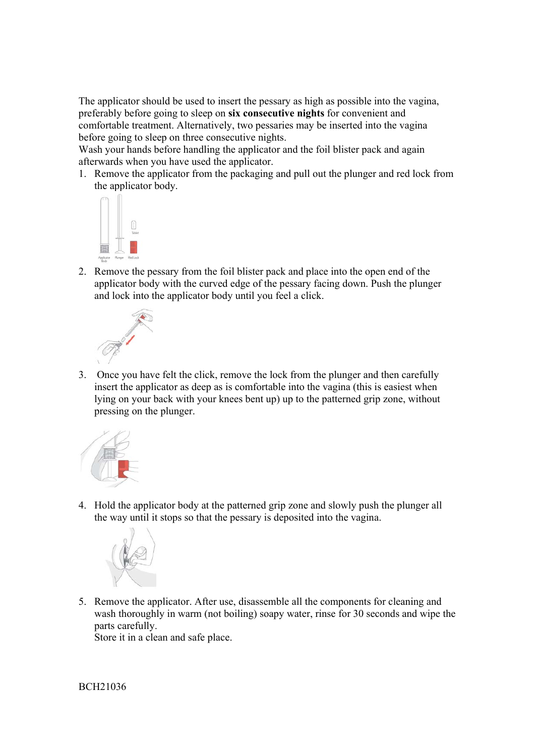The applicator should be used to insert the pessary as high as possible into the vagina, preferably before going to sleep on **six consecutive nights** for convenient and comfortable treatment. Alternatively, two pessaries may be inserted into the vagina before going to sleep on three consecutive nights.

Wash your hands before handling the applicator and the foil blister pack and again afterwards when you have used the applicator.

1. Remove the applicator from the packaging and pull out the plunger and red lock from the applicator body.



2. Remove the pessary from the foil blister pack and place into the open end of the applicator body with the curved edge of the pessary facing down. Push the plunger and lock into the applicator body until you feel a click.



3. Once you have felt the click, remove the lock from the plunger and then carefully insert the applicator as deep as is comfortable into the vagina (this is easiest when lying on your back with your knees bent up) up to the patterned grip zone, without pressing on the plunger.



4. Hold the applicator body at the patterned grip zone and slowly push the plunger all the way until it stops so that the pessary is deposited into the vagina.



5. Remove the applicator. After use, disassemble all the components for cleaning and wash thoroughly in warm (not boiling) soapy water, rinse for 30 seconds and wipe the parts carefully.

Store it in a clean and safe place.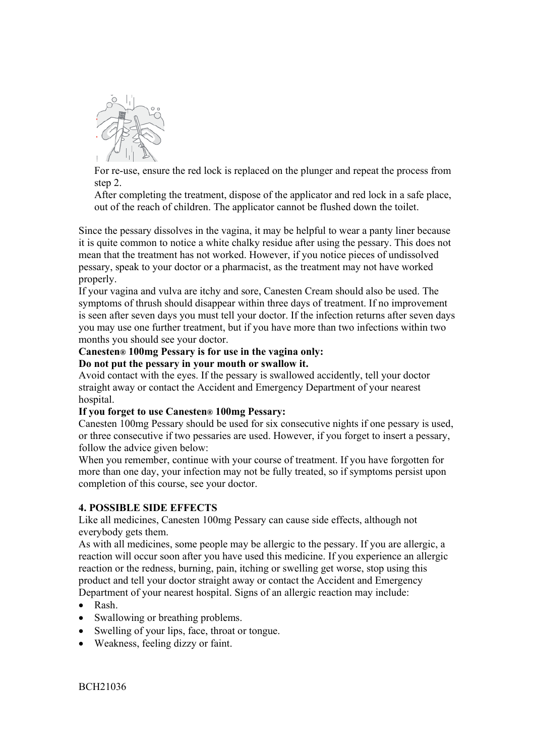

For re-use, ensure the red lock is replaced on the plunger and repeat the process from step 2.

After completing the treatment, dispose of the applicator and red lock in a safe place, out of the reach of children. The applicator cannot be flushed down the toilet.

Since the pessary dissolves in the vagina, it may be helpful to wear a panty liner because it is quite common to notice a white chalky residue after using the pessary. This does not mean that the treatment has not worked. However, if you notice pieces of undissolved pessary, speak to your doctor or a pharmacist, as the treatment may not have worked properly.

If your vagina and vulva are itchy and sore, Canesten Cream should also be used. The symptoms of thrush should disappear within three days of treatment. If no improvement is seen after seven days you must tell your doctor. If the infection returns after seven days you may use one further treatment, but if you have more than two infections within two months you should see your doctor.

# **Canesten® 100mg Pessary is for use in the vagina only:**

**Do not put the pessary in your mouth or swallow it.** 

Avoid contact with the eyes. If the pessary is swallowed accidently, tell your doctor straight away or contact the Accident and Emergency Department of your nearest hospital.

## **If you forget to use Canesten® 100mg Pessary:**

Canesten 100mg Pessary should be used for six consecutive nights if one pessary is used, or three consecutive if two pessaries are used. However, if you forget to insert a pessary, follow the advice given below:

When you remember, continue with your course of treatment. If you have forgotten for more than one day, your infection may not be fully treated, so if symptoms persist upon completion of this course, see your doctor.

## **4. POSSIBLE SIDE EFFECTS**

Like all medicines, Canesten 100mg Pessary can cause side effects, although not everybody gets them.

As with all medicines, some people may be allergic to the pessary. If you are allergic, a reaction will occur soon after you have used this medicine. If you experience an allergic reaction or the redness, burning, pain, itching or swelling get worse, stop using this product and tell your doctor straight away or contact the Accident and Emergency Department of your nearest hospital. Signs of an allergic reaction may include:

- Rash.
- Swallowing or breathing problems.
- Swelling of your lips, face, throat or tongue.
- Weakness, feeling dizzy or faint.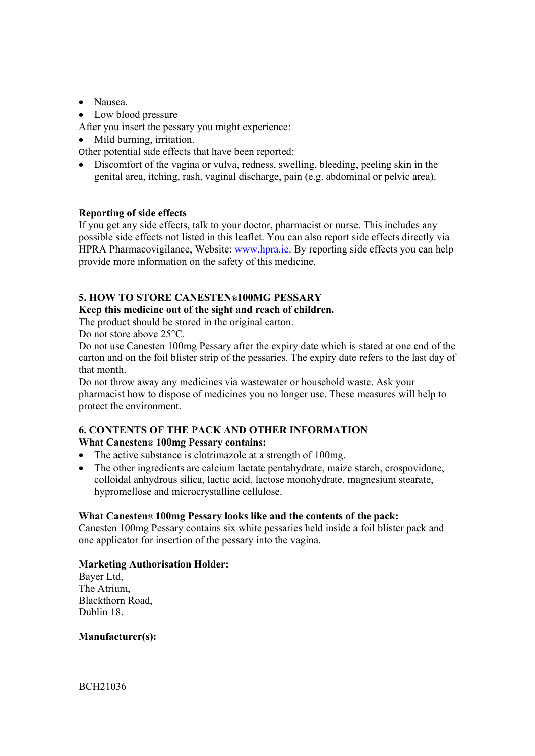- Nausea.
- Low blood pressure

After you insert the pessary you might experience:

• Mild burning, irritation.

Other potential side effects that have been reported:

 Discomfort of the vagina or vulva, redness, swelling, bleeding, peeling skin in the genital area, itching, rash, vaginal discharge, pain (e.g. abdominal or pelvic area).

## **Reporting of side effects**

If you get any side effects, talk to your doctor, pharmacist or nurse. This includes any possible side effects not listed in this leaflet. You can also report side effects directly via HPRA Pharmacovigilance, Website: www.hpra.ie. By reporting side effects you can help provide more information on the safety of this medicine.

# **5. HOW TO STORE CANESTEN®100MG PESSARY**

## **Keep this medicine out of the sight and reach of children.**

The product should be stored in the original carton.

Do not store above 25°C.

Do not use Canesten 100mg Pessary after the expiry date which is stated at one end of the carton and on the foil blister strip of the pessaries. The expiry date refers to the last day of that month.

Do not throw away any medicines via wastewater or household waste. Ask your pharmacist how to dispose of medicines you no longer use. These measures will help to protect the environment.

#### **6. CONTENTS OF THE PACK AND OTHER INFORMATION What Canesten® 100mg Pessary contains:**

- The active substance is clotrimazole at a strength of 100mg.
- The other ingredients are calcium lactate pentahydrate, maize starch, crospovidone, colloidal anhydrous silica, lactic acid, lactose monohydrate, magnesium stearate, hypromellose and microcrystalline cellulose.

## **What Canesten® 100mg Pessary looks like and the contents of the pack:**

Canesten 100mg Pessary contains six white pessaries held inside a foil blister pack and one applicator for insertion of the pessary into the vagina.

## **Marketing Authorisation Holder:**

Bayer Ltd, The Atrium, Blackthorn Road, Dublin 18.

#### **Manufacturer(s):**